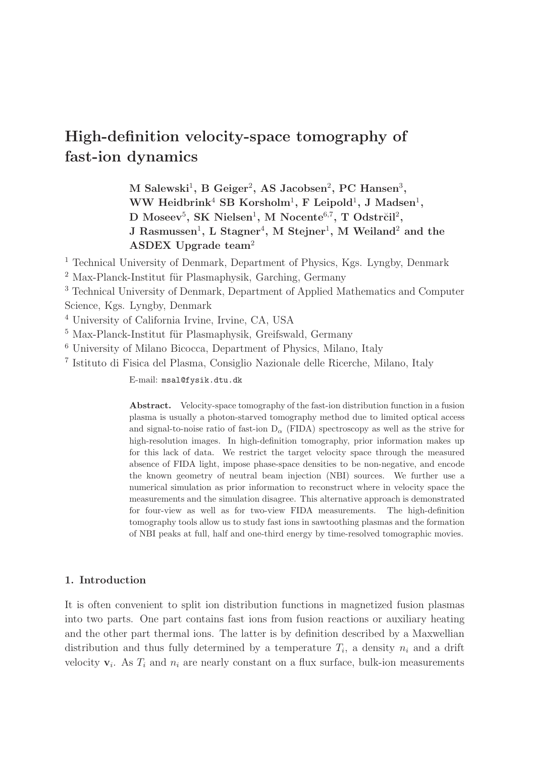# High-definition velocity-space tomography of fast-ion dynamics

M Salewski<sup>1</sup>, B Geiger<sup>2</sup>, AS Jacobsen<sup>2</sup>, PC Hansen<sup>3</sup>,  $WW$  Heidbrink<sup>4</sup> SB Korsholm<sup>1</sup>, F Leipold<sup>1</sup>, J Madsen<sup>1</sup>,  $\rm D~Moseev^5,~SK~Nielsen^1,~M~Nocente^{6,7},~T~Odstr\check{c}il^2,$ J Rasmussen<sup>1</sup>, L Stagner<sup>4</sup>, M Stejner<sup>1</sup>, M Weiland<sup>2</sup> and the ASDEX Upgrade team<sup>2</sup>

<sup>1</sup> Technical University of Denmark, Department of Physics, Kgs. Lyngby, Denmark

- $2$  Max-Planck-Institut für Plasmaphysik, Garching, Germany
- <sup>3</sup> Technical University of Denmark, Department of Applied Mathematics and Computer Science, Kgs. Lyngby, Denmark
- <sup>4</sup> University of California Irvine, Irvine, CA, USA
- $5$  Max-Planck-Institut für Plasmaphysik, Greifswald, Germany
- <sup>6</sup> University of Milano Bicocca, Department of Physics, Milano, Italy
- 7 Istituto di Fisica del Plasma, Consiglio Nazionale delle Ricerche, Milano, Italy

E-mail: msal@fysik.dtu.dk

Abstract. Velocity-space tomography of the fast-ion distribution function in a fusion plasma is usually a photon-starved tomography method due to limited optical access and signal-to-noise ratio of fast-ion  $D_{\alpha}$  (FIDA) spectroscopy as well as the strive for high-resolution images. In high-definition tomography, prior information makes up for this lack of data. We restrict the target velocity space through the measured absence of FIDA light, impose phase-space densities to be non-negative, and encode the known geometry of neutral beam injection (NBI) sources. We further use a numerical simulation as prior information to reconstruct where in velocity space the measurements and the simulation disagree. This alternative approach is demonstrated for four-view as well as for two-view FIDA measurements. The high-definition tomography tools allow us to study fast ions in sawtoothing plasmas and the formation of NBI peaks at full, half and one-third energy by time-resolved tomographic movies.

### 1. Introduction

It is often convenient to split ion distribution functions in magnetized fusion plasmas into two parts. One part contains fast ions from fusion reactions or auxiliary heating and the other part thermal ions. The latter is by definition described by a Maxwellian distribution and thus fully determined by a temperature  $T_i$ , a density  $n_i$  and a drift velocity  $v_i$ . As  $T_i$  and  $n_i$  are nearly constant on a flux surface, bulk-ion measurements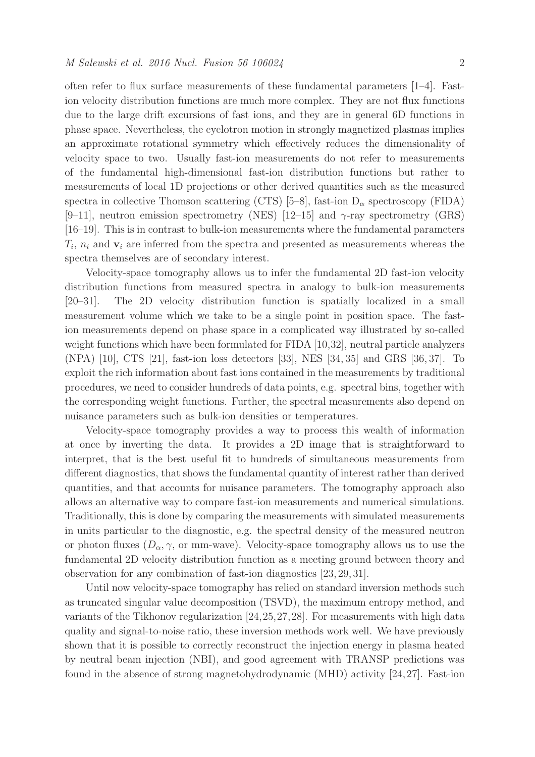often refer to flux surface measurements of these fundamental parameters [1–4]. Fastion velocity distribution functions are much more complex. They are not flux functions due to the large drift excursions of fast ions, and they are in general 6D functions in phase space. Nevertheless, the cyclotron motion in strongly magnetized plasmas implies an approximate rotational symmetry which effectively reduces the dimensionality of velocity space to two. Usually fast-ion measurements do not refer to measurements of the fundamental high-dimensional fast-ion distribution functions but rather to measurements of local 1D projections or other derived quantities such as the measured spectra in collective Thomson scattering (CTS) [5–8], fast-ion  $D_{\alpha}$  spectroscopy (FIDA)  $[9-11]$ , neutron emission spectrometry (NES)  $[12-15]$  and  $\gamma$ -ray spectrometry (GRS) [16–19]. This is in contrast to bulk-ion measurements where the fundamental parameters  $T_i$ ,  $n_i$  and  $\mathbf{v}_i$  are inferred from the spectra and presented as measurements whereas the spectra themselves are of secondary interest.

Velocity-space tomography allows us to infer the fundamental 2D fast-ion velocity distribution functions from measured spectra in analogy to bulk-ion measurements [20–31]. The 2D velocity distribution function is spatially localized in a small measurement volume which we take to be a single point in position space. The fastion measurements depend on phase space in a complicated way illustrated by so-called weight functions which have been formulated for FIDA [10,32], neutral particle analyzers (NPA) [10], CTS [21], fast-ion loss detectors [33], NES [34, 35] and GRS [36, 37]. To exploit the rich information about fast ions contained in the measurements by traditional procedures, we need to consider hundreds of data points, e.g. spectral bins, together with the corresponding weight functions. Further, the spectral measurements also depend on nuisance parameters such as bulk-ion densities or temperatures.

Velocity-space tomography provides a way to process this wealth of information at once by inverting the data. It provides a 2D image that is straightforward to interpret, that is the best useful fit to hundreds of simultaneous measurements from different diagnostics, that shows the fundamental quantity of interest rather than derived quantities, and that accounts for nuisance parameters. The tomography approach also allows an alternative way to compare fast-ion measurements and numerical simulations. Traditionally, this is done by comparing the measurements with simulated measurements in units particular to the diagnostic, e.g. the spectral density of the measured neutron or photon fluxes  $(D_{\alpha}, \gamma)$ , or mm-wave). Velocity-space tomography allows us to use the fundamental 2D velocity distribution function as a meeting ground between theory and observation for any combination of fast-ion diagnostics [23, 29, 31].

Until now velocity-space tomography has relied on standard inversion methods such as truncated singular value decomposition (TSVD), the maximum entropy method, and variants of the Tikhonov regularization [24,25,27,28]. For measurements with high data quality and signal-to-noise ratio, these inversion methods work well. We have previously shown that it is possible to correctly reconstruct the injection energy in plasma heated by neutral beam injection (NBI), and good agreement with TRANSP predictions was found in the absence of strong magnetohydrodynamic (MHD) activity [24,27]. Fast-ion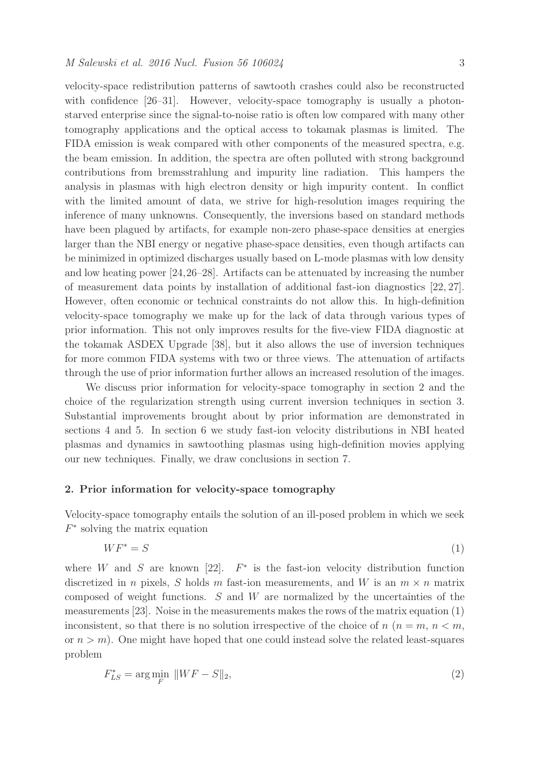velocity-space redistribution patterns of sawtooth crashes could also be reconstructed with confidence [26–31]. However, velocity-space tomography is usually a photonstarved enterprise since the signal-to-noise ratio is often low compared with many other tomography applications and the optical access to tokamak plasmas is limited. The FIDA emission is weak compared with other components of the measured spectra, e.g. the beam emission. In addition, the spectra are often polluted with strong background contributions from bremsstrahlung and impurity line radiation. This hampers the analysis in plasmas with high electron density or high impurity content. In conflict with the limited amount of data, we strive for high-resolution images requiring the inference of many unknowns. Consequently, the inversions based on standard methods have been plagued by artifacts, for example non-zero phase-space densities at energies larger than the NBI energy or negative phase-space densities, even though artifacts can be minimized in optimized discharges usually based on L-mode plasmas with low density and low heating power [24,26–28]. Artifacts can be attenuated by increasing the number of measurement data points by installation of additional fast-ion diagnostics [22, 27]. However, often economic or technical constraints do not allow this. In high-definition velocity-space tomography we make up for the lack of data through various types of prior information. This not only improves results for the five-view FIDA diagnostic at the tokamak ASDEX Upgrade [38], but it also allows the use of inversion techniques for more common FIDA systems with two or three views. The attenuation of artifacts through the use of prior information further allows an increased resolution of the images.

We discuss prior information for velocity-space tomography in section 2 and the choice of the regularization strength using current inversion techniques in section 3. Substantial improvements brought about by prior information are demonstrated in sections 4 and 5. In section 6 we study fast-ion velocity distributions in NBI heated plasmas and dynamics in sawtoothing plasmas using high-definition movies applying our new techniques. Finally, we draw conclusions in section 7.

## 2. Prior information for velocity-space tomography

Velocity-space tomography entails the solution of an ill-posed problem in which we seek  $F^*$  solving the matrix equation

$$
WF^* = S \tag{1}
$$

where W and S are known [22].  $F^*$  is the fast-ion velocity distribution function discretized in *n* pixels, *S* holds *m* fast-ion measurements, and *W* is an  $m \times n$  matrix composed of weight functions.  $S$  and  $W$  are normalized by the uncertainties of the measurements [23]. Noise in the measurements makes the rows of the matrix equation (1) inconsistent, so that there is no solution irrespective of the choice of  $n (n = m, n < m,$ or  $n > m$ ). One might have hoped that one could instead solve the related least-squares problem

$$
F_{LS}^* = \arg\min_F \|WF - S\|_2,\tag{2}
$$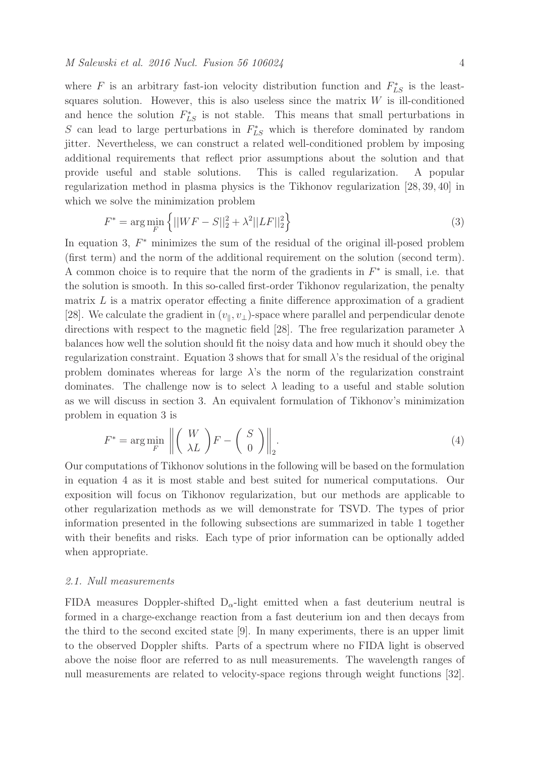where F is an arbitrary fast-ion velocity distribution function and  $F_{LS}^*$  is the leastsquares solution. However, this is also useless since the matrix  $W$  is ill-conditioned and hence the solution  $F_{LS}^*$  is not stable. This means that small perturbations in S can lead to large perturbations in  $F_{LS}^*$  which is therefore dominated by random jitter. Nevertheless, we can construct a related well-conditioned problem by imposing additional requirements that reflect prior assumptions about the solution and that provide useful and stable solutions. This is called regularization. A popular regularization method in plasma physics is the Tikhonov regularization [28, 39, 40] in which we solve the minimization problem

$$
F^* = \arg\min_{F} \left\{ ||WF - S||_2^2 + \lambda^2 ||LF||_2^2 \right\}
$$
 (3)

In equation 3,  $F^*$  minimizes the sum of the residual of the original ill-posed problem (first term) and the norm of the additional requirement on the solution (second term). A common choice is to require that the norm of the gradients in  $F^*$  is small, i.e. that the solution is smooth. In this so-called first-order Tikhonov regularization, the penalty matrix  $L$  is a matrix operator effecting a finite difference approximation of a gradient [28]. We calculate the gradient in  $(v_{\parallel}, v_{\perp})$ -space where parallel and perpendicular denote directions with respect to the magnetic field [28]. The free regularization parameter  $\lambda$ balances how well the solution should fit the noisy data and how much it should obey the regularization constraint. Equation 3 shows that for small  $\lambda$ 's the residual of the original problem dominates whereas for large  $\lambda$ 's the norm of the regularization constraint dominates. The challenge now is to select  $\lambda$  leading to a useful and stable solution as we will discuss in section 3. An equivalent formulation of Tikhonov's minimization problem in equation 3 is

$$
F^* = \arg\min_{F} \left\| \begin{pmatrix} W \\ \lambda L \end{pmatrix} F - \begin{pmatrix} S \\ 0 \end{pmatrix} \right\|_2.
$$
 (4)

Our computations of Tikhonov solutions in the following will be based on the formulation in equation 4 as it is most stable and best suited for numerical computations. Our exposition will focus on Tikhonov regularization, but our methods are applicable to other regularization methods as we will demonstrate for TSVD. The types of prior information presented in the following subsections are summarized in table 1 together with their benefits and risks. Each type of prior information can be optionally added when appropriate.

### 2.1. Null measurements

FIDA measures Doppler-shifted  $D_{\alpha}$ -light emitted when a fast deuterium neutral is formed in a charge-exchange reaction from a fast deuterium ion and then decays from the third to the second excited state [9]. In many experiments, there is an upper limit to the observed Doppler shifts. Parts of a spectrum where no FIDA light is observed above the noise floor are referred to as null measurements. The wavelength ranges of null measurements are related to velocity-space regions through weight functions [32].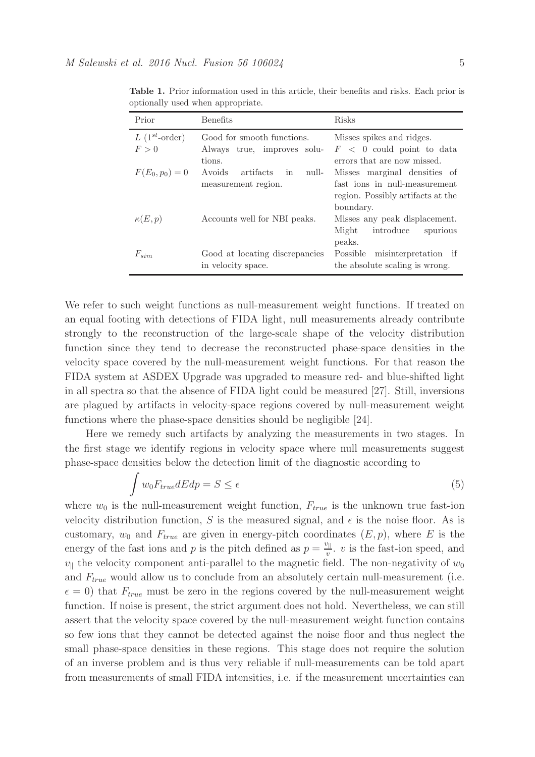| Prior                    | <b>Benefits</b>                                                     | <b>Risks</b>                                                                                                             |
|--------------------------|---------------------------------------------------------------------|--------------------------------------------------------------------------------------------------------------------------|
| $L(1^{st}-order)$<br>F>0 | Good for smooth functions.<br>Always true, improves solu-           | Misses spikes and ridges.<br>$F < 0$ could point to data                                                                 |
| $F(E_0, p_0) = 0$        | tions.<br>Avoids<br>artifacts<br>null-<br>in<br>measurement region. | errors that are now missed.<br>Misses marginal densities of<br>fast ions in null-measurement                             |
| $\kappa(E,p)$            | Accounts well for NBI peaks.                                        | region. Possibly artifacts at the<br>boundary.<br>Misses any peak displacement.<br>introduce spurious<br>Might<br>peaks. |
| $F_{sim}$                | Good at locating discrepancies<br>in velocity space.                | Possible misinterpretation if<br>the absolute scaling is wrong.                                                          |

Table 1. Prior information used in this article, their benefits and risks. Each prior is optionally used when appropriate.

We refer to such weight functions as null-measurement weight functions. If treated on an equal footing with detections of FIDA light, null measurements already contribute strongly to the reconstruction of the large-scale shape of the velocity distribution function since they tend to decrease the reconstructed phase-space densities in the velocity space covered by the null-measurement weight functions. For that reason the FIDA system at ASDEX Upgrade was upgraded to measure red- and blue-shifted light in all spectra so that the absence of FIDA light could be measured [27]. Still, inversions are plagued by artifacts in velocity-space regions covered by null-measurement weight functions where the phase-space densities should be negligible [24].

Here we remedy such artifacts by analyzing the measurements in two stages. In the first stage we identify regions in velocity space where null measurements suggest phase-space densities below the detection limit of the diagnostic according to

$$
\int w_0 F_{true} dE dp = S \le \epsilon \tag{5}
$$

where  $w_0$  is the null-measurement weight function,  $F_{true}$  is the unknown true fast-ion velocity distribution function, S is the measured signal, and  $\epsilon$  is the noise floor. As is customary,  $w_0$  and  $F_{true}$  are given in energy-pitch coordinates  $(E, p)$ , where E is the energy of the fast ions and p is the pitch defined as  $p = \frac{v_{\parallel}}{v}$  $\frac{\partial u}{\partial v}$ . *v* is the fast-ion speed, and  $v_{\parallel}$  the velocity component anti-parallel to the magnetic field. The non-negativity of  $w_0$ and  $F_{true}$  would allow us to conclude from an absolutely certain null-measurement (i.e.  $\epsilon = 0$ ) that  $F_{true}$  must be zero in the regions covered by the null-measurement weight function. If noise is present, the strict argument does not hold. Nevertheless, we can still assert that the velocity space covered by the null-measurement weight function contains so few ions that they cannot be detected against the noise floor and thus neglect the small phase-space densities in these regions. This stage does not require the solution of an inverse problem and is thus very reliable if null-measurements can be told apart from measurements of small FIDA intensities, i.e. if the measurement uncertainties can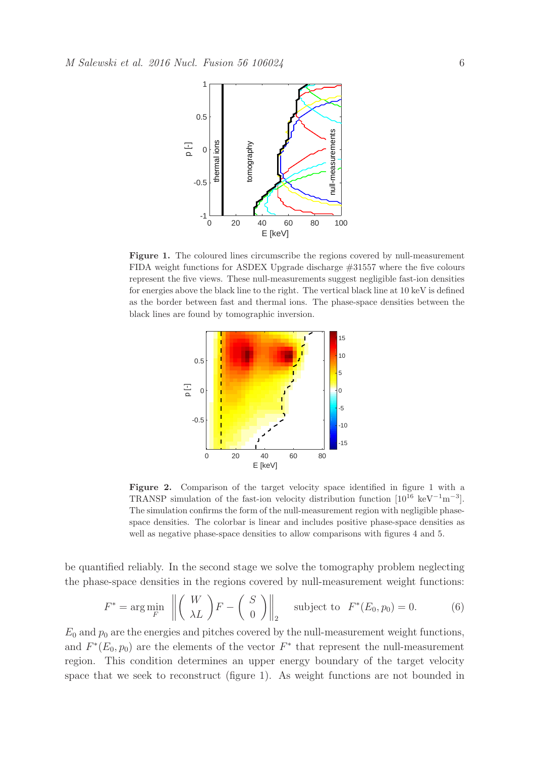

Figure 1. The coloured lines circumscribe the regions covered by null-measurement FIDA weight functions for ASDEX Upgrade discharge #31557 where the five colours represent the five views. These null-measurements suggest negligible fast-ion densities for energies above the black line to the right. The vertical black line at 10 keV is defined as the border between fast and thermal ions. The phase-space densities between the black lines are found by tomographic inversion.



Figure 2. Comparison of the target velocity space identified in figure 1 with a TRANSP simulation of the fast-ion velocity distribution function  $[10^{16} \text{ keV}^{-1} \text{m}^{-3}]$ . The simulation confirms the form of the null-measurement region with negligible phasespace densities. The colorbar is linear and includes positive phase-space densities as well as negative phase-space densities to allow comparisons with figures 4 and 5.

be quantified reliably. In the second stage we solve the tomography problem neglecting the phase-space densities in the regions covered by null-measurement weight functions:

$$
F^* = \arg\min_F \left\| \begin{pmatrix} W \\ \lambda L \end{pmatrix} F - \begin{pmatrix} S \\ 0 \end{pmatrix} \right\|_2 \quad \text{subject to} \quad F^*(E_0, p_0) = 0. \tag{6}
$$

 $E_0$  and  $p_0$  are the energies and pitches covered by the null-measurement weight functions, and  $F^*(E_0, p_0)$  are the elements of the vector  $F^*$  that represent the null-measurement region. This condition determines an upper energy boundary of the target velocity space that we seek to reconstruct (figure 1). As weight functions are not bounded in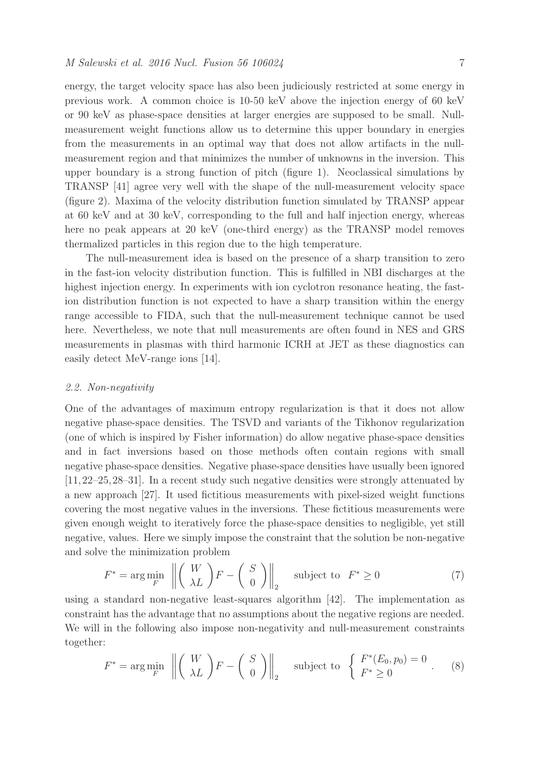energy, the target velocity space has also been judiciously restricted at some energy in previous work. A common choice is 10-50 keV above the injection energy of 60 keV or 90 keV as phase-space densities at larger energies are supposed to be small. Nullmeasurement weight functions allow us to determine this upper boundary in energies from the measurements in an optimal way that does not allow artifacts in the nullmeasurement region and that minimizes the number of unknowns in the inversion. This upper boundary is a strong function of pitch (figure 1). Neoclassical simulations by TRANSP [41] agree very well with the shape of the null-measurement velocity space (figure 2). Maxima of the velocity distribution function simulated by TRANSP appear at 60 keV and at 30 keV, corresponding to the full and half injection energy, whereas here no peak appears at 20 keV (one-third energy) as the TRANSP model removes thermalized particles in this region due to the high temperature.

The null-measurement idea is based on the presence of a sharp transition to zero in the fast-ion velocity distribution function. This is fulfilled in NBI discharges at the highest injection energy. In experiments with ion cyclotron resonance heating, the fastion distribution function is not expected to have a sharp transition within the energy range accessible to FIDA, such that the null-measurement technique cannot be used here. Nevertheless, we note that null measurements are often found in NES and GRS measurements in plasmas with third harmonic ICRH at JET as these diagnostics can easily detect MeV-range ions [14].

#### 2.2. Non-negativity

One of the advantages of maximum entropy regularization is that it does not allow negative phase-space densities. The TSVD and variants of the Tikhonov regularization (one of which is inspired by Fisher information) do allow negative phase-space densities and in fact inversions based on those methods often contain regions with small negative phase-space densities. Negative phase-space densities have usually been ignored [11,22–25,28–31]. In a recent study such negative densities were strongly attenuated by a new approach [27]. It used fictitious measurements with pixel-sized weight functions covering the most negative values in the inversions. These fictitious measurements were given enough weight to iteratively force the phase-space densities to negligible, yet still negative, values. Here we simply impose the constraint that the solution be non-negative and solve the minimization problem

$$
F^* = \arg\min_{F} \left\| \begin{pmatrix} W \\ \lambda L \end{pmatrix} F - \begin{pmatrix} S \\ 0 \end{pmatrix} \right\|_2 \quad \text{subject to} \quad F^* \ge 0 \tag{7}
$$

using a standard non-negative least-squares algorithm [42]. The implementation as constraint has the advantage that no assumptions about the negative regions are needed. We will in the following also impose non-negativity and null-measurement constraints together:

$$
F^* = \arg\min_{F} \left\| \left( \begin{array}{c} W \\ \lambda L \end{array} \right) F - \left( \begin{array}{c} S \\ 0 \end{array} \right) \right\|_2 \quad \text{subject to } \left\{ \begin{array}{c} F^*(E_0, p_0) = 0 \\ F^* \ge 0 \end{array} \right. \tag{8}
$$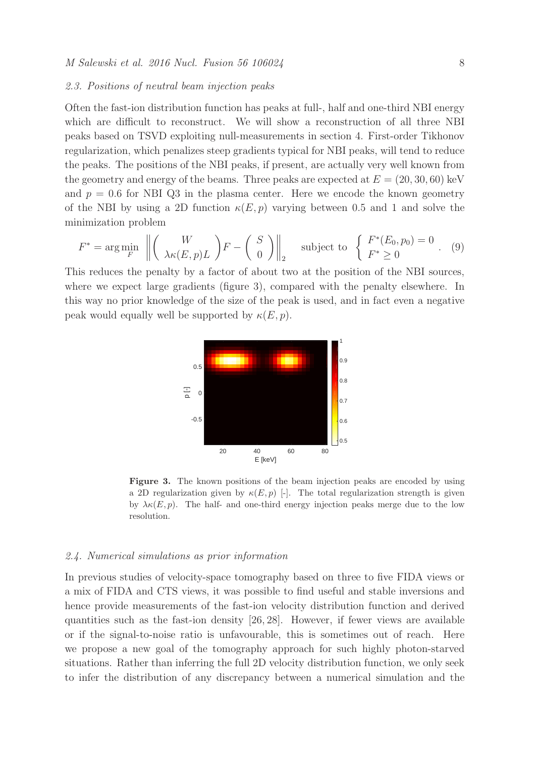#### 2.3. Positions of neutral beam injection peaks

Often the fast-ion distribution function has peaks at full-, half and one-third NBI energy which are difficult to reconstruct. We will show a reconstruction of all three NBI peaks based on TSVD exploiting null-measurements in section 4. First-order Tikhonov regularization, which penalizes steep gradients typical for NBI peaks, will tend to reduce the peaks. The positions of the NBI peaks, if present, are actually very well known from the geometry and energy of the beams. Three peaks are expected at  $E = (20, 30, 60)$  keV and  $p = 0.6$  for NBI Q3 in the plasma center. Here we encode the known geometry of the NBI by using a 2D function  $\kappa(E, p)$  varying between 0.5 and 1 and solve the minimization problem

$$
F^* = \arg\min_{F} \left\| \left( \begin{array}{c} W \\ \lambda \kappa(E, p)L \end{array} \right) F - \left( \begin{array}{c} S \\ 0 \end{array} \right) \right\|_2 \quad \text{subject to } \left\{ \begin{array}{c} F^*(E_0, p_0) = 0 \\ F^* \ge 0 \end{array} \right. . \tag{9}
$$

This reduces the penalty by a factor of about two at the position of the NBI sources, where we expect large gradients (figure 3), compared with the penalty elsewhere. In this way no prior knowledge of the size of the peak is used, and in fact even a negative peak would equally well be supported by  $\kappa(E, p)$ .



Figure 3. The known positions of the beam injection peaks are encoded by using a 2D regularization given by  $\kappa(E, p)$  [-]. The total regularization strength is given by  $\lambda \kappa(E, p)$ . The half- and one-third energy injection peaks merge due to the low resolution.

## 2.4. Numerical simulations as prior information

In previous studies of velocity-space tomography based on three to five FIDA views or a mix of FIDA and CTS views, it was possible to find useful and stable inversions and hence provide measurements of the fast-ion velocity distribution function and derived quantities such as the fast-ion density [26, 28]. However, if fewer views are available or if the signal-to-noise ratio is unfavourable, this is sometimes out of reach. Here we propose a new goal of the tomography approach for such highly photon-starved situations. Rather than inferring the full 2D velocity distribution function, we only seek to infer the distribution of any discrepancy between a numerical simulation and the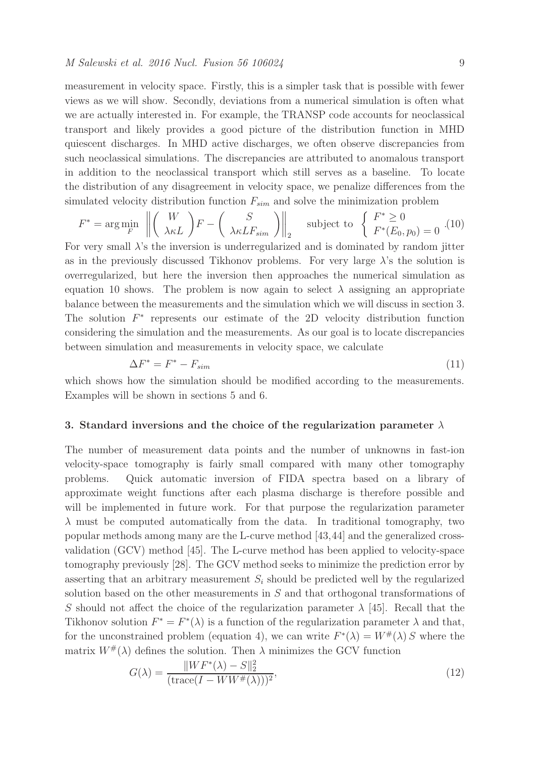measurement in velocity space. Firstly, this is a simpler task that is possible with fewer views as we will show. Secondly, deviations from a numerical simulation is often what we are actually interested in. For example, the TRANSP code accounts for neoclassical transport and likely provides a good picture of the distribution function in MHD quiescent discharges. In MHD active discharges, we often observe discrepancies from such neoclassical simulations. The discrepancies are attributed to anomalous transport in addition to the neoclassical transport which still serves as a baseline. To locate the distribution of any disagreement in velocity space, we penalize differences from the simulated velocity distribution function  $F_{sim}$  and solve the minimization problem

$$
F^* = \arg\min_{F} \left\| \left( \begin{array}{c} W \\ \lambda \kappa L \end{array} \right) F - \left( \begin{array}{c} S \\ \lambda \kappa L F_{sim} \end{array} \right) \right\|_2 \quad \text{subject to} \quad \left\{ \begin{array}{c} F^* \ge 0 \\ F^*(E_0, p_0) = 0 \end{array} \right. (10)
$$

For very small λ's the inversion is underregularized and is dominated by random jitter as in the previously discussed Tikhonov problems. For very large  $\lambda$ 's the solution is overregularized, but here the inversion then approaches the numerical simulation as equation 10 shows. The problem is now again to select  $\lambda$  assigning an appropriate balance between the measurements and the simulation which we will discuss in section 3. The solution  $F^*$  represents our estimate of the 2D velocity distribution function considering the simulation and the measurements. As our goal is to locate discrepancies between simulation and measurements in velocity space, we calculate

$$
\Delta F^* = F^* - F_{sim} \tag{11}
$$

which shows how the simulation should be modified according to the measurements. Examples will be shown in sections 5 and 6.

### 3. Standard inversions and the choice of the regularization parameter  $\lambda$

The number of measurement data points and the number of unknowns in fast-ion velocity-space tomography is fairly small compared with many other tomography problems. Quick automatic inversion of FIDA spectra based on a library of approximate weight functions after each plasma discharge is therefore possible and will be implemented in future work. For that purpose the regularization parameter  $\lambda$  must be computed automatically from the data. In traditional tomography, two popular methods among many are the L-curve method [43,44] and the generalized crossvalidation (GCV) method [45]. The L-curve method has been applied to velocity-space tomography previously [28]. The GCV method seeks to minimize the prediction error by asserting that an arbitrary measurement  $S_i$  should be predicted well by the regularized solution based on the other measurements in S and that orthogonal transformations of S should not affect the choice of the regularization parameter  $\lambda$  [45]. Recall that the Tikhonov solution  $F^* = F^*(\lambda)$  is a function of the regularization parameter  $\lambda$  and that, for the unconstrained problem (equation 4), we can write  $F^*(\lambda) = W^{\#}(\lambda) S$  where the matrix  $W^{\#}(\lambda)$  defines the solution. Then  $\lambda$  minimizes the GCV function

$$
G(\lambda) = \frac{\|WF^*(\lambda) - S\|_2^2}{(\text{trace}(I - WW^{\#}(\lambda)))^2},\tag{12}
$$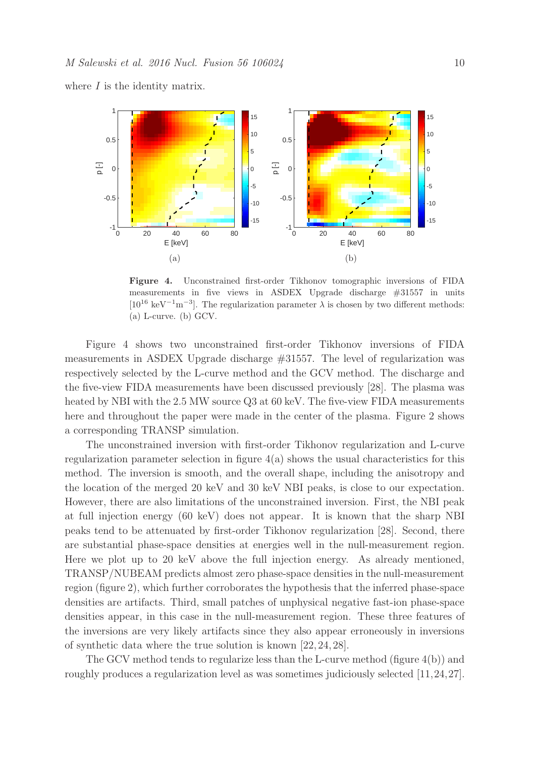where  $I$  is the identity matrix.



Figure 4. Unconstrained first-order Tikhonov tomographic inversions of FIDA measurements in five views in ASDEX Upgrade discharge #31557 in units [ $10^{16}$  keV<sup>-1</sup>m<sup>-3</sup>]. The regularization parameter  $\lambda$  is chosen by two different methods: (a) L-curve. (b) GCV.

Figure 4 shows two unconstrained first-order Tikhonov inversions of FIDA measurements in ASDEX Upgrade discharge #31557. The level of regularization was respectively selected by the L-curve method and the GCV method. The discharge and the five-view FIDA measurements have been discussed previously [28]. The plasma was heated by NBI with the 2.5 MW source Q3 at 60 keV. The five-view FIDA measurements here and throughout the paper were made in the center of the plasma. Figure 2 shows a corresponding TRANSP simulation.

The unconstrained inversion with first-order Tikhonov regularization and L-curve regularization parameter selection in figure  $4(a)$  shows the usual characteristics for this method. The inversion is smooth, and the overall shape, including the anisotropy and the location of the merged 20 keV and 30 keV NBI peaks, is close to our expectation. However, there are also limitations of the unconstrained inversion. First, the NBI peak at full injection energy (60 keV) does not appear. It is known that the sharp NBI peaks tend to be attenuated by first-order Tikhonov regularization [28]. Second, there are substantial phase-space densities at energies well in the null-measurement region. Here we plot up to 20 keV above the full injection energy. As already mentioned, TRANSP/NUBEAM predicts almost zero phase-space densities in the null-measurement region (figure 2), which further corroborates the hypothesis that the inferred phase-space densities are artifacts. Third, small patches of unphysical negative fast-ion phase-space densities appear, in this case in the null-measurement region. These three features of the inversions are very likely artifacts since they also appear erroneously in inversions of synthetic data where the true solution is known [22, 24, 28].

The GCV method tends to regularize less than the L-curve method (figure 4(b)) and roughly produces a regularization level as was sometimes judiciously selected [11,24,27].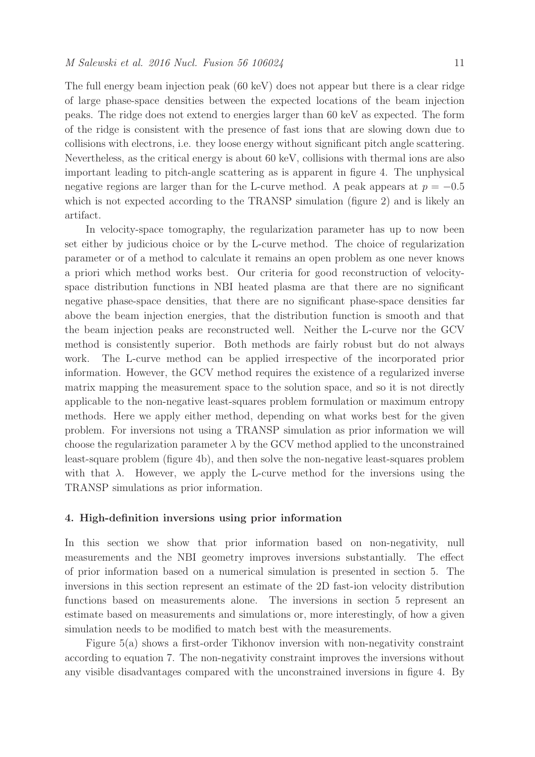The full energy beam injection peak (60 keV) does not appear but there is a clear ridge of large phase-space densities between the expected locations of the beam injection peaks. The ridge does not extend to energies larger than 60 keV as expected. The form of the ridge is consistent with the presence of fast ions that are slowing down due to collisions with electrons, i.e. they loose energy without significant pitch angle scattering. Nevertheless, as the critical energy is about 60 keV, collisions with thermal ions are also important leading to pitch-angle scattering as is apparent in figure 4. The unphysical negative regions are larger than for the L-curve method. A peak appears at  $p = -0.5$ which is not expected according to the TRANSP simulation (figure 2) and is likely an artifact.

In velocity-space tomography, the regularization parameter has up to now been set either by judicious choice or by the L-curve method. The choice of regularization parameter or of a method to calculate it remains an open problem as one never knows a priori which method works best. Our criteria for good reconstruction of velocityspace distribution functions in NBI heated plasma are that there are no significant negative phase-space densities, that there are no significant phase-space densities far above the beam injection energies, that the distribution function is smooth and that the beam injection peaks are reconstructed well. Neither the L-curve nor the GCV method is consistently superior. Both methods are fairly robust but do not always work. The L-curve method can be applied irrespective of the incorporated prior information. However, the GCV method requires the existence of a regularized inverse matrix mapping the measurement space to the solution space, and so it is not directly applicable to the non-negative least-squares problem formulation or maximum entropy methods. Here we apply either method, depending on what works best for the given problem. For inversions not using a TRANSP simulation as prior information we will choose the regularization parameter  $\lambda$  by the GCV method applied to the unconstrained least-square problem (figure 4b), and then solve the non-negative least-squares problem with that  $\lambda$ . However, we apply the L-curve method for the inversions using the TRANSP simulations as prior information.

## 4. High-definition inversions using prior information

In this section we show that prior information based on non-negativity, null measurements and the NBI geometry improves inversions substantially. The effect of prior information based on a numerical simulation is presented in section 5. The inversions in this section represent an estimate of the 2D fast-ion velocity distribution functions based on measurements alone. The inversions in section 5 represent an estimate based on measurements and simulations or, more interestingly, of how a given simulation needs to be modified to match best with the measurements.

Figure 5(a) shows a first-order Tikhonov inversion with non-negativity constraint according to equation 7. The non-negativity constraint improves the inversions without any visible disadvantages compared with the unconstrained inversions in figure 4. By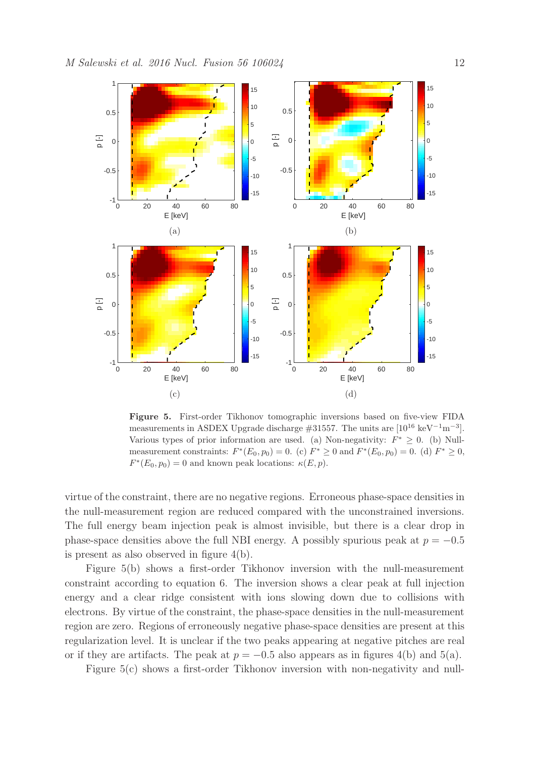

Figure 5. First-order Tikhonov tomographic inversions based on five-view FIDA measurements in ASDEX Upgrade discharge  $\#31557$ . The units are  $[10^{16} \text{ keV}^{-1} \text{m}^{-3}]$ . Various types of prior information are used. (a) Non-negativity:  $F^* \geq 0$ . (b) Nullmeasurement constraints:  $F^*(E_0, p_0) = 0$ . (c)  $F^* \ge 0$  and  $F^*(E_0, p_0) = 0$ . (d)  $F^* \ge 0$ ,  $F^*(E_0, p_0) = 0$  and known peak locations:  $\kappa(E, p)$ .

virtue of the constraint, there are no negative regions. Erroneous phase-space densities in the null-measurement region are reduced compared with the unconstrained inversions. The full energy beam injection peak is almost invisible, but there is a clear drop in phase-space densities above the full NBI energy. A possibly spurious peak at  $p = -0.5$ is present as also observed in figure 4(b).

Figure 5(b) shows a first-order Tikhonov inversion with the null-measurement constraint according to equation 6. The inversion shows a clear peak at full injection energy and a clear ridge consistent with ions slowing down due to collisions with electrons. By virtue of the constraint, the phase-space densities in the null-measurement region are zero. Regions of erroneously negative phase-space densities are present at this regularization level. It is unclear if the two peaks appearing at negative pitches are real or if they are artifacts. The peak at  $p = -0.5$  also appears as in figures 4(b) and 5(a).

Figure 5(c) shows a first-order Tikhonov inversion with non-negativity and null-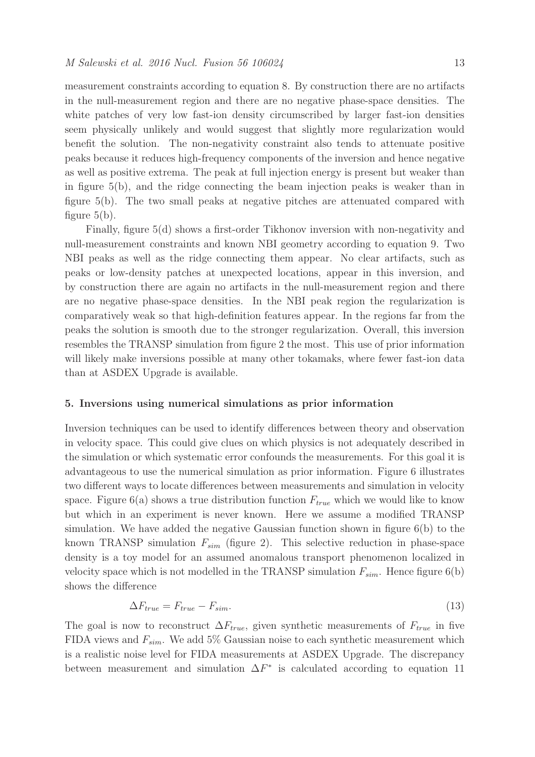measurement constraints according to equation 8. By construction there are no artifacts in the null-measurement region and there are no negative phase-space densities. The white patches of very low fast-ion density circumscribed by larger fast-ion densities seem physically unlikely and would suggest that slightly more regularization would benefit the solution. The non-negativity constraint also tends to attenuate positive peaks because it reduces high-frequency components of the inversion and hence negative as well as positive extrema. The peak at full injection energy is present but weaker than in figure 5(b), and the ridge connecting the beam injection peaks is weaker than in figure 5(b). The two small peaks at negative pitches are attenuated compared with figure  $5(b)$ .

Finally, figure 5(d) shows a first-order Tikhonov inversion with non-negativity and null-measurement constraints and known NBI geometry according to equation 9. Two NBI peaks as well as the ridge connecting them appear. No clear artifacts, such as peaks or low-density patches at unexpected locations, appear in this inversion, and by construction there are again no artifacts in the null-measurement region and there are no negative phase-space densities. In the NBI peak region the regularization is comparatively weak so that high-definition features appear. In the regions far from the peaks the solution is smooth due to the stronger regularization. Overall, this inversion resembles the TRANSP simulation from figure 2 the most. This use of prior information will likely make inversions possible at many other tokamaks, where fewer fast-ion data than at ASDEX Upgrade is available.

#### 5. Inversions using numerical simulations as prior information

Inversion techniques can be used to identify differences between theory and observation in velocity space. This could give clues on which physics is not adequately described in the simulation or which systematic error confounds the measurements. For this goal it is advantageous to use the numerical simulation as prior information. Figure 6 illustrates two different ways to locate differences between measurements and simulation in velocity space. Figure 6(a) shows a true distribution function  $F_{true}$  which we would like to know but which in an experiment is never known. Here we assume a modified TRANSP simulation. We have added the negative Gaussian function shown in figure  $6(b)$  to the known TRANSP simulation  $F_{sim}$  (figure 2). This selective reduction in phase-space density is a toy model for an assumed anomalous transport phenomenon localized in velocity space which is not modelled in the TRANSP simulation  $F_{sim}$ . Hence figure 6(b) shows the difference

$$
\Delta F_{true} = F_{true} - F_{sim}.\tag{13}
$$

The goal is now to reconstruct  $\Delta F_{true}$ , given synthetic measurements of  $F_{true}$  in five FIDA views and  $F_{sim}$ . We add 5% Gaussian noise to each synthetic measurement which is a realistic noise level for FIDA measurements at ASDEX Upgrade. The discrepancy between measurement and simulation  $\Delta F^*$  is calculated according to equation 11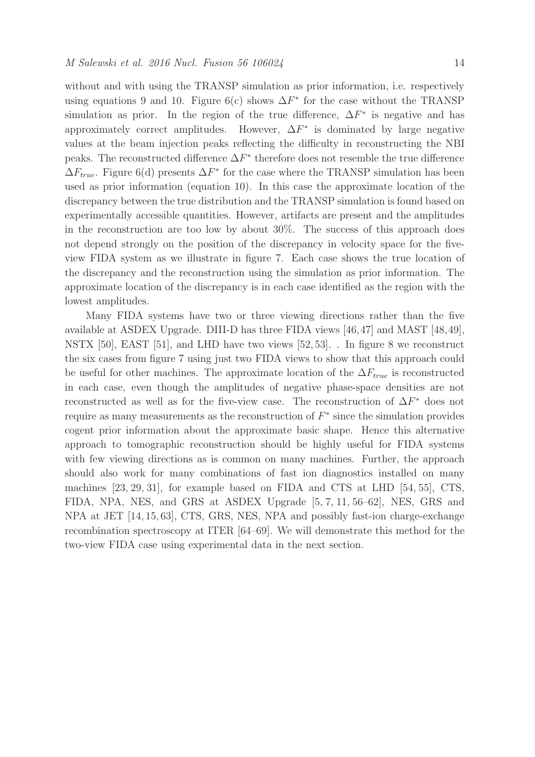without and with using the TRANSP simulation as prior information, i.e. respectively using equations 9 and 10. Figure 6(c) shows  $\Delta F^*$  for the case without the TRANSP simulation as prior. In the region of the true difference,  $\Delta F^*$  is negative and has approximately correct amplitudes. However,  $\Delta F^*$  is dominated by large negative values at the beam injection peaks reflecting the difficulty in reconstructing the NBI peaks. The reconstructed difference  $\Delta F^*$  therefore does not resemble the true difference  $\Delta F_{true}$ . Figure 6(d) presents  $\Delta F^*$  for the case where the TRANSP simulation has been used as prior information (equation 10). In this case the approximate location of the discrepancy between the true distribution and the TRANSP simulation is found based on experimentally accessible quantities. However, artifacts are present and the amplitudes in the reconstruction are too low by about 30%. The success of this approach does not depend strongly on the position of the discrepancy in velocity space for the fiveview FIDA system as we illustrate in figure 7. Each case shows the true location of the discrepancy and the reconstruction using the simulation as prior information. The approximate location of the discrepancy is in each case identified as the region with the lowest amplitudes.

Many FIDA systems have two or three viewing directions rather than the five available at ASDEX Upgrade. DIII-D has three FIDA views [46,47] and MAST [48,49], NSTX [50], EAST [51], and LHD have two views [52, 53]. . In figure 8 we reconstruct the six cases from figure 7 using just two FIDA views to show that this approach could be useful for other machines. The approximate location of the  $\Delta F_{true}$  is reconstructed in each case, even though the amplitudes of negative phase-space densities are not reconstructed as well as for the five-view case. The reconstruction of  $\Delta F^*$  does not require as many measurements as the reconstruction of  $F^*$  since the simulation provides cogent prior information about the approximate basic shape. Hence this alternative approach to tomographic reconstruction should be highly useful for FIDA systems with few viewing directions as is common on many machines. Further, the approach should also work for many combinations of fast ion diagnostics installed on many machines [23, 29, 31], for example based on FIDA and CTS at LHD [54, 55], CTS, FIDA, NPA, NES, and GRS at ASDEX Upgrade [5, 7, 11, 56–62], NES, GRS and NPA at JET [14, 15, 63], CTS, GRS, NES, NPA and possibly fast-ion charge-exchange recombination spectroscopy at ITER [64–69]. We will demonstrate this method for the two-view FIDA case using experimental data in the next section.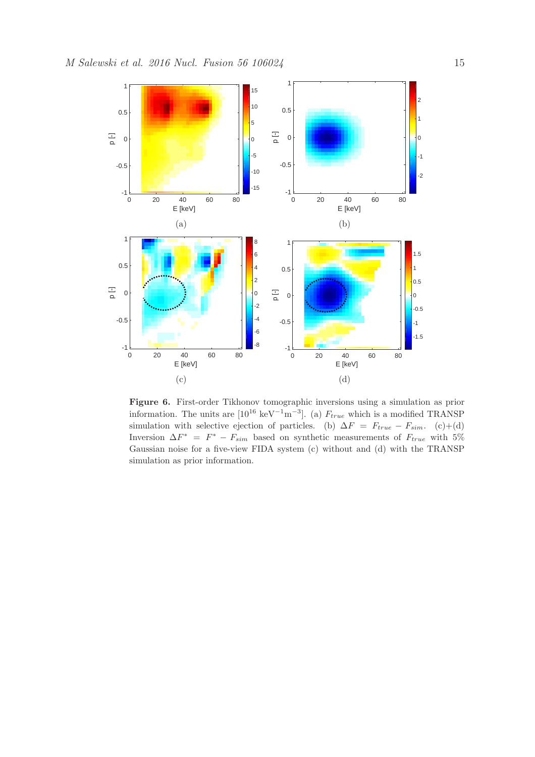

Figure 6. First-order Tikhonov tomographic inversions using a simulation as prior information. The units are  $[10^{16} \text{ keV}^{-1} \text{m}^{-3}]$ . (a)  $F_{true}$  which is a modified TRANSP simulation with selective ejection of particles. (b)  $\Delta F = F_{true} - F_{sim}$ . (c)+(d) Inversion  $\Delta F^* = F^* - F_{sim}$  based on synthetic measurements of  $F_{true}$  with 5% Gaussian noise for a five-view FIDA system (c) without and (d) with the TRANSP simulation as prior information.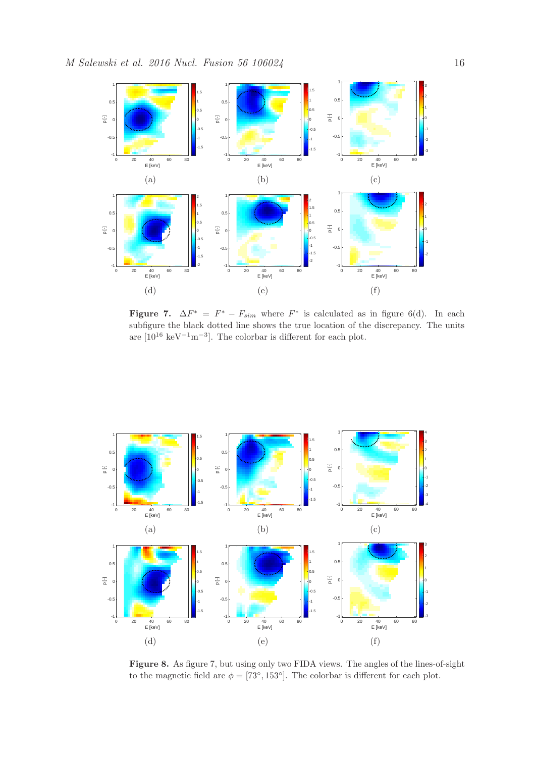

Figure 7.  $\Delta F^* = F^* - F_{sim}$  where  $F^*$  is calculated as in figure 6(d). In each subfigure the black dotted line shows the true location of the discrepancy. The units are  $[10^{16} \text{ keV}^{-1} \text{m}^{-3}]$ . The colorbar is different for each plot.



Figure 8. As figure 7, but using only two FIDA views. The angles of the lines-of-sight to the magnetic field are  $\phi = [73^\circ, 153^\circ]$ . The colorbar is different for each plot.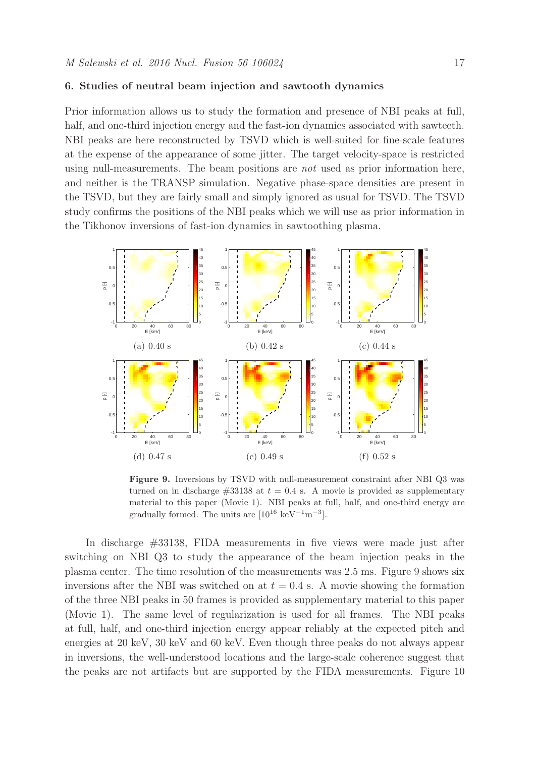### 6. Studies of neutral beam injection and sawtooth dynamics

Prior information allows us to study the formation and presence of NBI peaks at full, half, and one-third injection energy and the fast-ion dynamics associated with sawteeth. NBI peaks are here reconstructed by TSVD which is well-suited for fine-scale features at the expense of the appearance of some jitter. The target velocity-space is restricted using null-measurements. The beam positions are not used as prior information here, and neither is the TRANSP simulation. Negative phase-space densities are present in the TSVD, but they are fairly small and simply ignored as usual for TSVD. The TSVD study confirms the positions of the NBI peaks which we will use as prior information in the Tikhonov inversions of fast-ion dynamics in sawtoothing plasma.



Figure 9. Inversions by TSVD with null-measurement constraint after NBI Q3 was turned on in discharge  $\#33138$  at  $t = 0.4$  s. A movie is provided as supplementary material to this paper (Movie 1). NBI peaks at full, half, and one-third energy are gradually formed. The units are  $[10^{16} \text{ keV}^{-1} \text{m}^{-3}]$ .

In discharge #33138, FIDA measurements in five views were made just after switching on NBI Q3 to study the appearance of the beam injection peaks in the plasma center. The time resolution of the measurements was 2.5 ms. Figure 9 shows six inversions after the NBI was switched on at  $t = 0.4$  s. A movie showing the formation of the three NBI peaks in 50 frames is provided as supplementary material to this paper (Movie 1). The same level of regularization is used for all frames. The NBI peaks at full, half, and one-third injection energy appear reliably at the expected pitch and energies at 20 keV, 30 keV and 60 keV. Even though three peaks do not always appear in inversions, the well-understood locations and the large-scale coherence suggest that the peaks are not artifacts but are supported by the FIDA measurements. Figure 10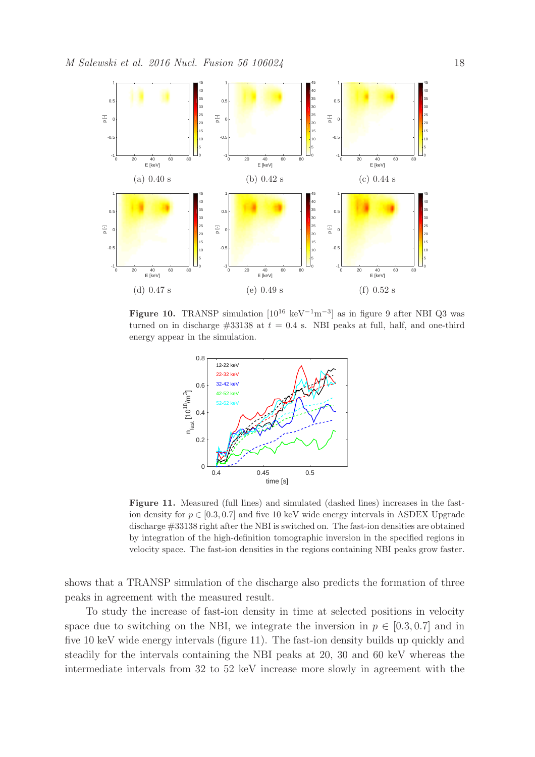

Figure 10. TRANSP simulation  $[10^{16} \text{ keV}^{-1} \text{m}^{-3}]$  as in figure 9 after NBI Q3 was turned on in discharge  $\#33138$  at  $t = 0.4$  s. NBI peaks at full, half, and one-third energy appear in the simulation.



Figure 11. Measured (full lines) and simulated (dashed lines) increases in the fastion density for  $p \in [0.3, 0.7]$  and five 10 keV wide energy intervals in ASDEX Upgrade discharge #33138 right after the NBI is switched on. The fast-ion densities are obtained by integration of the high-definition tomographic inversion in the specified regions in velocity space. The fast-ion densities in the regions containing NBI peaks grow faster.

shows that a TRANSP simulation of the discharge also predicts the formation of three peaks in agreement with the measured result.

To study the increase of fast-ion density in time at selected positions in velocity space due to switching on the NBI, we integrate the inversion in  $p \in [0.3, 0.7]$  and in five 10 keV wide energy intervals (figure 11). The fast-ion density builds up quickly and steadily for the intervals containing the NBI peaks at 20, 30 and 60 keV whereas the intermediate intervals from 32 to 52 keV increase more slowly in agreement with the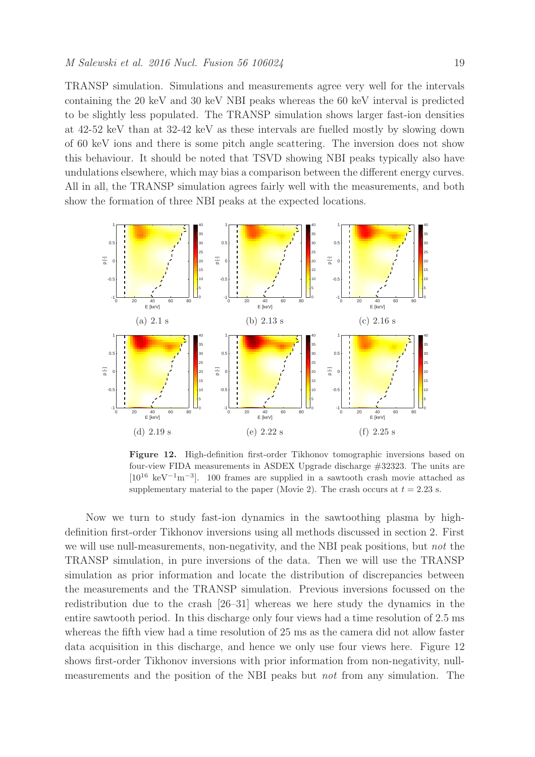TRANSP simulation. Simulations and measurements agree very well for the intervals containing the 20 keV and 30 keV NBI peaks whereas the 60 keV interval is predicted to be slightly less populated. The TRANSP simulation shows larger fast-ion densities at 42-52 keV than at 32-42 keV as these intervals are fuelled mostly by slowing down of 60 keV ions and there is some pitch angle scattering. The inversion does not show this behaviour. It should be noted that TSVD showing NBI peaks typically also have undulations elsewhere, which may bias a comparison between the different energy curves. All in all, the TRANSP simulation agrees fairly well with the measurements, and both show the formation of three NBI peaks at the expected locations.



Figure 12. High-definition first-order Tikhonov tomographic inversions based on four-view FIDA measurements in ASDEX Upgrade discharge #32323. The units are [10<sup>16</sup> keV<sup>−</sup><sup>1</sup>m<sup>−</sup><sup>3</sup> ]. 100 frames are supplied in a sawtooth crash movie attached as supplementary material to the paper (Movie 2). The crash occurs at  $t = 2.23$  s.

Now we turn to study fast-ion dynamics in the sawtoothing plasma by highdefinition first-order Tikhonov inversions using all methods discussed in section 2. First we will use null-measurements, non-negativity, and the NBI peak positions, but not the TRANSP simulation, in pure inversions of the data. Then we will use the TRANSP simulation as prior information and locate the distribution of discrepancies between the measurements and the TRANSP simulation. Previous inversions focussed on the redistribution due to the crash [26–31] whereas we here study the dynamics in the entire sawtooth period. In this discharge only four views had a time resolution of 2.5 ms whereas the fifth view had a time resolution of 25 ms as the camera did not allow faster data acquisition in this discharge, and hence we only use four views here. Figure 12 shows first-order Tikhonov inversions with prior information from non-negativity, nullmeasurements and the position of the NBI peaks but not from any simulation. The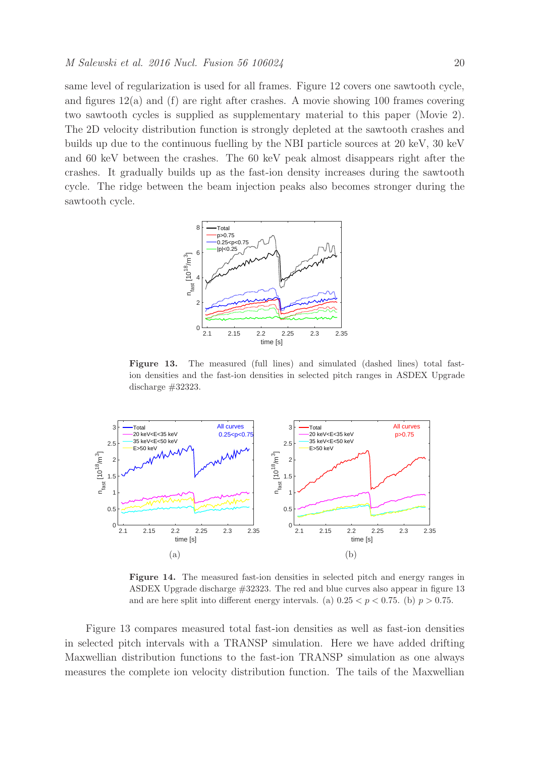same level of regularization is used for all frames. Figure 12 covers one sawtooth cycle, and figures  $12(a)$  and (f) are right after crashes. A movie showing 100 frames covering two sawtooth cycles is supplied as supplementary material to this paper (Movie 2). The 2D velocity distribution function is strongly depleted at the sawtooth crashes and builds up due to the continuous fuelling by the NBI particle sources at 20 keV, 30 keV and 60 keV between the crashes. The 60 keV peak almost disappears right after the crashes. It gradually builds up as the fast-ion density increases during the sawtooth cycle. The ridge between the beam injection peaks also becomes stronger during the sawtooth cycle.



Figure 13. The measured (full lines) and simulated (dashed lines) total fastion densities and the fast-ion densities in selected pitch ranges in ASDEX Upgrade discharge #32323.



Figure 14. The measured fast-ion densities in selected pitch and energy ranges in ASDEX Upgrade discharge #32323. The red and blue curves also appear in figure 13 and are here split into different energy intervals. (a)  $0.25 < p < 0.75$ . (b)  $p > 0.75$ .

Figure 13 compares measured total fast-ion densities as well as fast-ion densities in selected pitch intervals with a TRANSP simulation. Here we have added drifting Maxwellian distribution functions to the fast-ion TRANSP simulation as one always measures the complete ion velocity distribution function. The tails of the Maxwellian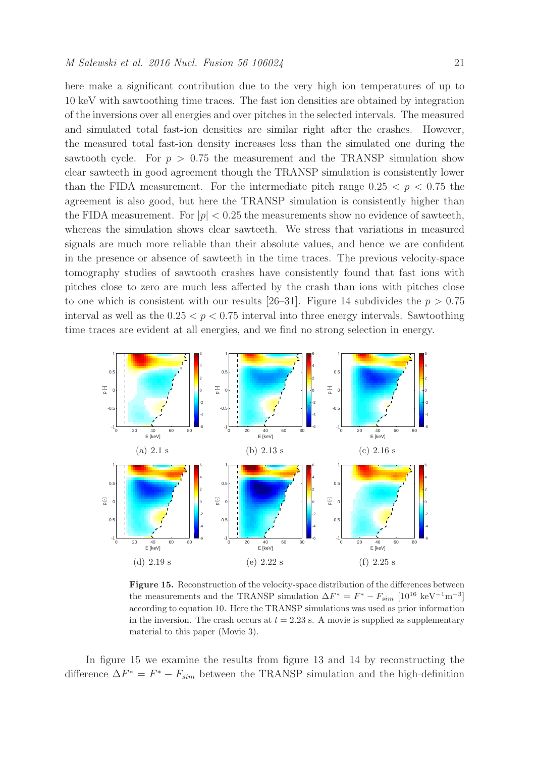here make a significant contribution due to the very high ion temperatures of up to 10 keV with sawtoothing time traces. The fast ion densities are obtained by integration of the inversions over all energies and over pitches in the selected intervals. The measured and simulated total fast-ion densities are similar right after the crashes. However, the measured total fast-ion density increases less than the simulated one during the sawtooth cycle. For  $p > 0.75$  the measurement and the TRANSP simulation show clear sawteeth in good agreement though the TRANSP simulation is consistently lower than the FIDA measurement. For the intermediate pitch range  $0.25 < p < 0.75$  the agreement is also good, but here the TRANSP simulation is consistently higher than the FIDA measurement. For  $|p| < 0.25$  the measurements show no evidence of sawteeth, whereas the simulation shows clear sawteeth. We stress that variations in measured signals are much more reliable than their absolute values, and hence we are confident in the presence or absence of sawteeth in the time traces. The previous velocity-space tomography studies of sawtooth crashes have consistently found that fast ions with pitches close to zero are much less affected by the crash than ions with pitches close to one which is consistent with our results [26–31]. Figure 14 subdivides the  $p > 0.75$ interval as well as the  $0.25 < p < 0.75$  interval into three energy intervals. Sawtoothing time traces are evident at all energies, and we find no strong selection in energy.



Figure 15. Reconstruction of the velocity-space distribution of the differences between the measurements and the TRANSP simulation  $\Delta F^* = F^* - F_{sim}$  [10<sup>16</sup> keV<sup>-1</sup>m<sup>-3</sup>] according to equation 10. Here the TRANSP simulations was used as prior information in the inversion. The crash occurs at  $t = 2.23$  s. A movie is supplied as supplementary material to this paper (Movie 3).

In figure 15 we examine the results from figure 13 and 14 by reconstructing the difference  $\Delta F^* = F^* - F_{sim}$  between the TRANSP simulation and the high-definition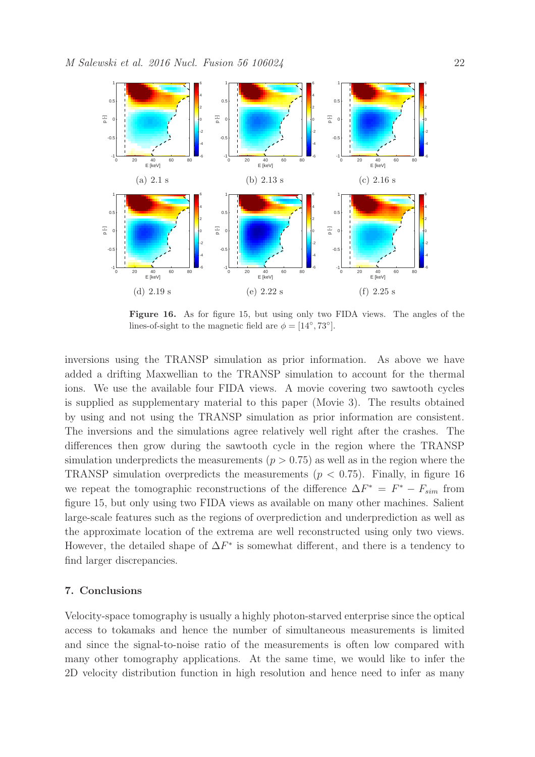

Figure 16. As for figure 15, but using only two FIDA views. The angles of the lines-of-sight to the magnetic field are  $\phi = [14^{\circ}, 73^{\circ}]$ .

inversions using the TRANSP simulation as prior information. As above we have added a drifting Maxwellian to the TRANSP simulation to account for the thermal ions. We use the available four FIDA views. A movie covering two sawtooth cycles is supplied as supplementary material to this paper (Movie 3). The results obtained by using and not using the TRANSP simulation as prior information are consistent. The inversions and the simulations agree relatively well right after the crashes. The differences then grow during the sawtooth cycle in the region where the TRANSP simulation underpredicts the measurements ( $p > 0.75$ ) as well as in the region where the TRANSP simulation overpredicts the measurements ( $p < 0.75$ ). Finally, in figure 16 we repeat the tomographic reconstructions of the difference  $\Delta F^* = F^* - F_{sim}$  from figure 15, but only using two FIDA views as available on many other machines. Salient large-scale features such as the regions of overprediction and underprediction as well as the approximate location of the extrema are well reconstructed using only two views. However, the detailed shape of  $\Delta F^*$  is somewhat different, and there is a tendency to find larger discrepancies.

## 7. Conclusions

Velocity-space tomography is usually a highly photon-starved enterprise since the optical access to tokamaks and hence the number of simultaneous measurements is limited and since the signal-to-noise ratio of the measurements is often low compared with many other tomography applications. At the same time, we would like to infer the 2D velocity distribution function in high resolution and hence need to infer as many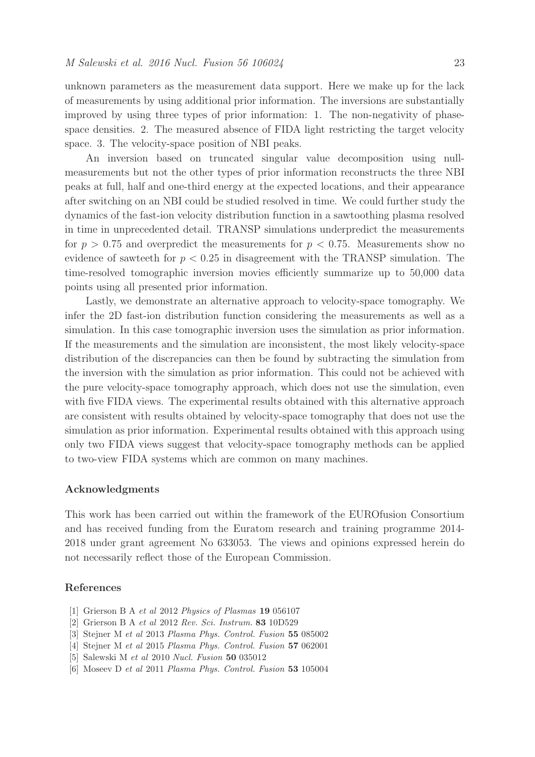unknown parameters as the measurement data support. Here we make up for the lack of measurements by using additional prior information. The inversions are substantially improved by using three types of prior information: 1. The non-negativity of phasespace densities. 2. The measured absence of FIDA light restricting the target velocity space. 3. The velocity-space position of NBI peaks.

An inversion based on truncated singular value decomposition using nullmeasurements but not the other types of prior information reconstructs the three NBI peaks at full, half and one-third energy at the expected locations, and their appearance after switching on an NBI could be studied resolved in time. We could further study the dynamics of the fast-ion velocity distribution function in a sawtoothing plasma resolved in time in unprecedented detail. TRANSP simulations underpredict the measurements for  $p > 0.75$  and overpredict the measurements for  $p < 0.75$ . Measurements show no evidence of sawteeth for  $p < 0.25$  in disagreement with the TRANSP simulation. The time-resolved tomographic inversion movies efficiently summarize up to 50,000 data points using all presented prior information.

Lastly, we demonstrate an alternative approach to velocity-space tomography. We infer the 2D fast-ion distribution function considering the measurements as well as a simulation. In this case tomographic inversion uses the simulation as prior information. If the measurements and the simulation are inconsistent, the most likely velocity-space distribution of the discrepancies can then be found by subtracting the simulation from the inversion with the simulation as prior information. This could not be achieved with the pure velocity-space tomography approach, which does not use the simulation, even with five FIDA views. The experimental results obtained with this alternative approach are consistent with results obtained by velocity-space tomography that does not use the simulation as prior information. Experimental results obtained with this approach using only two FIDA views suggest that velocity-space tomography methods can be applied to two-view FIDA systems which are common on many machines.

### Acknowledgments

This work has been carried out within the framework of the EUROfusion Consortium and has received funding from the Euratom research and training programme 2014- 2018 under grant agreement No 633053. The views and opinions expressed herein do not necessarily reflect those of the European Commission.

## References

- [1] Grierson B A *et al* 2012 *Physics of Plasmas* 19 056107
- [2] Grierson B A *et al* 2012 *Rev. Sci. Instrum.* 83 10D529
- [3] Stejner M *et al* 2013 *Plasma Phys. Control. Fusion* 55 085002
- [4] Stejner M *et al* 2015 *Plasma Phys. Control. Fusion* 57 062001
- [5] Salewski M *et al* 2010 *Nucl. Fusion* 50 035012
- [6] Moseev D *et al* 2011 *Plasma Phys. Control. Fusion* 53 105004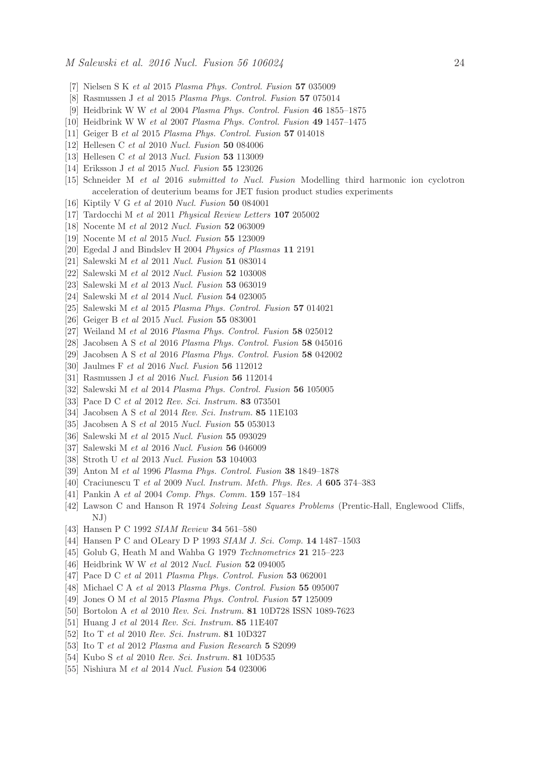- [7] Nielsen S K *et al* 2015 *Plasma Phys. Control. Fusion* 57 035009
- [8] Rasmussen J *et al* 2015 *Plasma Phys. Control. Fusion* 57 075014
- [9] Heidbrink W W *et al* 2004 *Plasma Phys. Control. Fusion* 46 1855–1875
- [10] Heidbrink W W *et al* 2007 *Plasma Phys. Control. Fusion* 49 1457–1475
- [11] Geiger B *et al* 2015 *Plasma Phys. Control. Fusion* 57 014018
- [12] Hellesen C *et al* 2010 *Nucl. Fusion* 50 084006
- [13] Hellesen C *et al* 2013 *Nucl. Fusion* 53 113009
- [14] Eriksson J *et al* 2015 *Nucl. Fusion* 55 123026
- [15] Schneider M *et al* 2016 *submitted to Nucl. Fusion* Modelling third harmonic ion cyclotron acceleration of deuterium beams for JET fusion product studies experiments
- [16] Kiptily V G *et al* 2010 *Nucl. Fusion* 50 084001
- [17] Tardocchi M *et al* 2011 *Physical Review Letters* 107 205002
- [18] Nocente M *et al* 2012 *Nucl. Fusion* 52 063009
- [19] Nocente M *et al* 2015 *Nucl. Fusion* 55 123009
- [20] Egedal J and Bindslev H 2004 *Physics of Plasmas* 11 2191
- [21] Salewski M *et al* 2011 *Nucl. Fusion* 51 083014
- [22] Salewski M *et al* 2012 *Nucl. Fusion* 52 103008
- [23] Salewski M *et al* 2013 *Nucl. Fusion* 53 063019
- [24] Salewski M *et al* 2014 *Nucl. Fusion* 54 023005
- [25] Salewski M *et al* 2015 *Plasma Phys. Control. Fusion* 57 014021
- [26] Geiger B *et al* 2015 *Nucl. Fusion* 55 083001
- [27] Weiland M *et al* 2016 *Plasma Phys. Control. Fusion* 58 025012
- [28] Jacobsen A S *et al* 2016 *Plasma Phys. Control. Fusion* 58 045016
- [29] Jacobsen A S *et al* 2016 *Plasma Phys. Control. Fusion* 58 042002
- [30] Jaulmes F *et al* 2016 *Nucl. Fusion* 56 112012
- [31] Rasmussen J *et al* 2016 *Nucl. Fusion* 56 112014
- [32] Salewski M *et al* 2014 *Plasma Phys. Control. Fusion* 56 105005
- [33] Pace D C *et al* 2012 *Rev. Sci. Instrum.* 83 073501
- [34] Jacobsen A S *et al* 2014 *Rev. Sci. Instrum.* 85 11E103
- [35] Jacobsen A S *et al* 2015 *Nucl. Fusion* 55 053013
- [36] Salewski M *et al* 2015 *Nucl. Fusion* 55 093029
- [37] Salewski M *et al* 2016 *Nucl. Fusion* 56 046009
- [38] Stroth U *et al* 2013 *Nucl. Fusion* 53 104003
- [39] Anton M *et al* 1996 *Plasma Phys. Control. Fusion* 38 1849–1878
- [40] Craciunescu T *et al* 2009 *Nucl. Instrum. Meth. Phys. Res. A* 605 374–383
- [41] Pankin A *et al* 2004 *Comp. Phys. Comm.* 159 157–184
- [42] Lawson C and Hanson R 1974 *Solving Least Squares Problems* (Prentic-Hall, Englewood Cliffs, NJ)
- [43] Hansen P C 1992 *SIAM Review* 34 561–580
- [44] Hansen P C and OLeary D P 1993 *SIAM J. Sci. Comp.* 14 1487–1503
- [45] Golub G, Heath M and Wahba G 1979 *Technometrics* 21 215–223
- [46] Heidbrink W W *et al* 2012 *Nucl. Fusion* 52 094005
- [47] Pace D C *et al* 2011 *Plasma Phys. Control. Fusion* 53 062001
- [48] Michael C A *et al* 2013 *Plasma Phys. Control. Fusion* 55 095007
- [49] Jones O M *et al* 2015 *Plasma Phys. Control. Fusion* 57 125009
- [50] Bortolon A *et al* 2010 *Rev. Sci. Instrum.* 81 10D728 ISSN 1089-7623
- [51] Huang J *et al* 2014 *Rev. Sci. Instrum.* 85 11E407
- [52] Ito T *et al* 2010 *Rev. Sci. Instrum.* 81 10D327
- [53] Ito T *et al* 2012 *Plasma and Fusion Research* 5 S2099
- [54] Kubo S *et al* 2010 *Rev. Sci. Instrum.* 81 10D535
- [55] Nishiura M *et al* 2014 *Nucl. Fusion* 54 023006